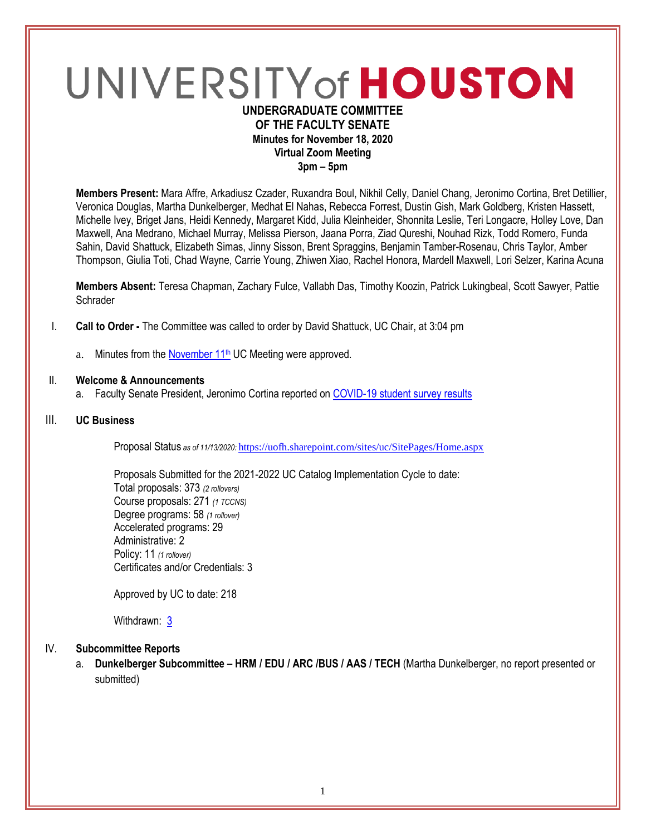# UNIVERSITY of HOUSTON **UNDERGRADUATE COMMITTEE**

## **OF THE FACULTY SENATE Minutes for November 18, 2020 Virtual Zoom Meeting**

**3pm – 5pm**

**Members Present:** Mara Affre, Arkadiusz Czader, Ruxandra Boul, Nikhil Celly, Daniel Chang, Jeronimo Cortina, Bret Detillier, Veronica Douglas, Martha Dunkelberger, Medhat El Nahas, Rebecca Forrest, Dustin Gish, Mark Goldberg, Kristen Hassett, Michelle Ivey, Briget Jans, Heidi Kennedy, Margaret Kidd, Julia Kleinheider, Shonnita Leslie, Teri Longacre, Holley Love, Dan Maxwell, Ana Medrano, Michael Murray, Melissa Pierson, Jaana Porra, Ziad Qureshi, Nouhad Rizk, Todd Romero, Funda Sahin, David Shattuck, Elizabeth Simas, Jinny Sisson, Brent Spraggins, Benjamin Tamber-Rosenau, Chris Taylor, Amber Thompson, Giulia Toti, Chad Wayne, Carrie Young, Zhiwen Xiao, Rachel Honora, Mardell Maxwell, Lori Selzer, Karina Acuna

**Members Absent:** Teresa Chapman, Zachary Fulce, Vallabh Das, Timothy Koozin, Patrick Lukingbeal, Scott Sawyer, Pattie **Schrader** 

- I. **Call to Order -** The Committee was called to order by David Shattuck, UC Chair, at 3:04 pm
	- a. Minutes from the November  $11<sup>th</sup>$  UC Meeting were approved.

#### II. **Welcome & Announcements**

a. Faculty Senate President, Jeronimo Cortina reported o[n COVID-19 student survey results](https://cloudapps.uh.edu/sendit/l/e1WmZv763kRuPYizsc0dAnpw/LlcbmupAPVD6ymcbuKeFPA/3qHxLaJJ3twfYiO8KruUAQ)

#### III. **UC Business**

Proposal Status *as of 11/13/2020:* <https://uofh.sharepoint.com/sites/uc/SitePages/Home.aspx>

Proposals Submitted for the 2021-2022 UC Catalog Implementation Cycle to date: Total proposals: 373 *(2 rollovers)* Course proposals: 271 *(1 TCCNS)* Degree programs: 58 *(1 rollover)* Accelerated programs: 29 Administrative: 2 Policy: 11 *(1 rollover)* Certificates and/or Credentials: 3

Approved by UC to date: 218

Withdrawn: [3](https://uofh.sharepoint.com/sites/uc/Lists/ProposalSubmissionAndTracking/Submitted%20Proposals%20%20Current%20Year%20%20Grouped.aspx?FilterField1=Proposal%5Fx0020%5FStatus&FilterValue1=Withdrawn%20%2D%20See%20Proposal%20Notes&FilterType1=Choice&viewid=3e8f7d7c%2Dd8a4%2D43cd%2D8f0e%2D60cc2ac81fe6)

#### IV. **Subcommittee Reports**

a. **Dunkelberger Subcommittee – HRM / EDU / ARC /BUS / AAS / TECH** (Martha Dunkelberger, no report presented or submitted)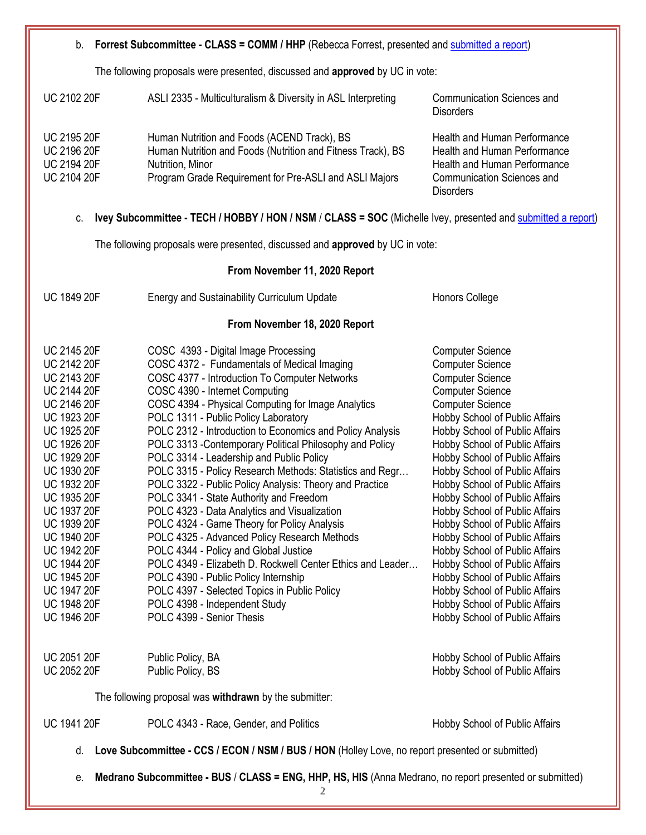| b. Forrest Subcommittee - CLASS = COMM / HHP (Rebecca Forrest, presented and submitted a report)                                                                                                                                                                                                                                                                                                                                                                    |                                                                                                                                                                                                                                                                                                                                                                                                                                                                                                                                                                                                                                                                                                                                                                                                                                                                                                                                                                                                                         |                                                                                                                                                                                                                                                                                                                                                                                                                                                                                                                                                                                                                                                                                                            |
|---------------------------------------------------------------------------------------------------------------------------------------------------------------------------------------------------------------------------------------------------------------------------------------------------------------------------------------------------------------------------------------------------------------------------------------------------------------------|-------------------------------------------------------------------------------------------------------------------------------------------------------------------------------------------------------------------------------------------------------------------------------------------------------------------------------------------------------------------------------------------------------------------------------------------------------------------------------------------------------------------------------------------------------------------------------------------------------------------------------------------------------------------------------------------------------------------------------------------------------------------------------------------------------------------------------------------------------------------------------------------------------------------------------------------------------------------------------------------------------------------------|------------------------------------------------------------------------------------------------------------------------------------------------------------------------------------------------------------------------------------------------------------------------------------------------------------------------------------------------------------------------------------------------------------------------------------------------------------------------------------------------------------------------------------------------------------------------------------------------------------------------------------------------------------------------------------------------------------|
| The following proposals were presented, discussed and approved by UC in vote:                                                                                                                                                                                                                                                                                                                                                                                       |                                                                                                                                                                                                                                                                                                                                                                                                                                                                                                                                                                                                                                                                                                                                                                                                                                                                                                                                                                                                                         |                                                                                                                                                                                                                                                                                                                                                                                                                                                                                                                                                                                                                                                                                                            |
| <b>UC 2102 20F</b>                                                                                                                                                                                                                                                                                                                                                                                                                                                  | ASLI 2335 - Multiculturalism & Diversity in ASL Interpreting                                                                                                                                                                                                                                                                                                                                                                                                                                                                                                                                                                                                                                                                                                                                                                                                                                                                                                                                                            | <b>Communication Sciences and</b><br><b>Disorders</b>                                                                                                                                                                                                                                                                                                                                                                                                                                                                                                                                                                                                                                                      |
| <b>UC 2195 20F</b><br><b>UC 2196 20F</b><br><b>UC 2194 20F</b><br><b>UC 2104 20F</b>                                                                                                                                                                                                                                                                                                                                                                                | Human Nutrition and Foods (ACEND Track), BS<br>Human Nutrition and Foods (Nutrition and Fitness Track), BS<br>Nutrition, Minor<br>Program Grade Requirement for Pre-ASLI and ASLI Majors                                                                                                                                                                                                                                                                                                                                                                                                                                                                                                                                                                                                                                                                                                                                                                                                                                | Health and Human Performance<br><b>Health and Human Performance</b><br>Health and Human Performance<br><b>Communication Sciences and</b><br><b>Disorders</b>                                                                                                                                                                                                                                                                                                                                                                                                                                                                                                                                               |
| Ivey Subcommittee - TECH / HOBBY / HON / NSM / CLASS = SOC (Michelle Ivey, presented and submitted a report)<br>C.                                                                                                                                                                                                                                                                                                                                                  |                                                                                                                                                                                                                                                                                                                                                                                                                                                                                                                                                                                                                                                                                                                                                                                                                                                                                                                                                                                                                         |                                                                                                                                                                                                                                                                                                                                                                                                                                                                                                                                                                                                                                                                                                            |
| The following proposals were presented, discussed and approved by UC in vote:                                                                                                                                                                                                                                                                                                                                                                                       |                                                                                                                                                                                                                                                                                                                                                                                                                                                                                                                                                                                                                                                                                                                                                                                                                                                                                                                                                                                                                         |                                                                                                                                                                                                                                                                                                                                                                                                                                                                                                                                                                                                                                                                                                            |
| From November 11, 2020 Report                                                                                                                                                                                                                                                                                                                                                                                                                                       |                                                                                                                                                                                                                                                                                                                                                                                                                                                                                                                                                                                                                                                                                                                                                                                                                                                                                                                                                                                                                         |                                                                                                                                                                                                                                                                                                                                                                                                                                                                                                                                                                                                                                                                                                            |
| <b>UC 1849 20F</b>                                                                                                                                                                                                                                                                                                                                                                                                                                                  | <b>Energy and Sustainability Curriculum Update</b>                                                                                                                                                                                                                                                                                                                                                                                                                                                                                                                                                                                                                                                                                                                                                                                                                                                                                                                                                                      | <b>Honors College</b>                                                                                                                                                                                                                                                                                                                                                                                                                                                                                                                                                                                                                                                                                      |
| From November 18, 2020 Report                                                                                                                                                                                                                                                                                                                                                                                                                                       |                                                                                                                                                                                                                                                                                                                                                                                                                                                                                                                                                                                                                                                                                                                                                                                                                                                                                                                                                                                                                         |                                                                                                                                                                                                                                                                                                                                                                                                                                                                                                                                                                                                                                                                                                            |
| <b>UC 2145 20F</b><br><b>UC 2142 20F</b><br><b>UC 2143 20F</b><br><b>UC 2144 20F</b><br><b>UC 2146 20F</b><br><b>UC 1923 20F</b><br><b>UC 1925 20F</b><br><b>UC 1926 20F</b><br><b>UC 1929 20F</b><br><b>UC 1930 20F</b><br><b>UC 1932 20F</b><br><b>UC 1935 20F</b><br>UC 1937 20F<br><b>UC 1939 20F</b><br><b>UC 1940 20F</b><br><b>UC 1942 20F</b><br><b>UC 1944 20F</b><br><b>UC 1945 20F</b><br><b>UC 1947 20F</b><br><b>UC 1948 20F</b><br><b>UC 1946 20F</b> | COSC 4393 - Digital Image Processing<br>COSC 4372 - Fundamentals of Medical Imaging<br>COSC 4377 - Introduction To Computer Networks<br>COSC 4390 - Internet Computing<br>COSC 4394 - Physical Computing for Image Analytics<br>POLC 1311 - Public Policy Laboratory<br>POLC 2312 - Introduction to Economics and Policy Analysis<br>POLC 3313 - Contemporary Political Philosophy and Policy<br>POLC 3314 - Leadership and Public Policy<br>POLC 3315 - Policy Research Methods: Statistics and Regr<br>POLC 3322 - Public Policy Analysis: Theory and Practice<br>POLC 3341 - State Authority and Freedom<br>POLC 4323 - Data Analytics and Visualization<br>POLC 4324 - Game Theory for Policy Analysis<br>POLC 4325 - Advanced Policy Research Methods<br>POLC 4344 - Policy and Global Justice<br>POLC 4349 - Elizabeth D. Rockwell Center Ethics and Leader<br>POLC 4390 - Public Policy Internship<br>POLC 4397 - Selected Topics in Public Policy<br>POLC 4398 - Independent Study<br>POLC 4399 - Senior Thesis | <b>Computer Science</b><br><b>Computer Science</b><br><b>Computer Science</b><br><b>Computer Science</b><br><b>Computer Science</b><br>Hobby School of Public Affairs<br>Hobby School of Public Affairs<br>Hobby School of Public Affairs<br><b>Hobby School of Public Affairs</b><br>Hobby School of Public Affairs<br>Hobby School of Public Affairs<br>Hobby School of Public Affairs<br>Hobby School of Public Affairs<br>Hobby School of Public Affairs<br>Hobby School of Public Affairs<br>Hobby School of Public Affairs<br>Hobby School of Public Affairs<br>Hobby School of Public Affairs<br>Hobby School of Public Affairs<br>Hobby School of Public Affairs<br>Hobby School of Public Affairs |
| <b>UC 2051 20F</b><br><b>UC 2052 20F</b>                                                                                                                                                                                                                                                                                                                                                                                                                            | Public Policy, BA<br>Public Policy, BS                                                                                                                                                                                                                                                                                                                                                                                                                                                                                                                                                                                                                                                                                                                                                                                                                                                                                                                                                                                  | Hobby School of Public Affairs<br>Hobby School of Public Affairs                                                                                                                                                                                                                                                                                                                                                                                                                                                                                                                                                                                                                                           |
| The following proposal was withdrawn by the submitter:                                                                                                                                                                                                                                                                                                                                                                                                              |                                                                                                                                                                                                                                                                                                                                                                                                                                                                                                                                                                                                                                                                                                                                                                                                                                                                                                                                                                                                                         |                                                                                                                                                                                                                                                                                                                                                                                                                                                                                                                                                                                                                                                                                                            |
| <b>UC 1941 20F</b>                                                                                                                                                                                                                                                                                                                                                                                                                                                  | POLC 4343 - Race, Gender, and Politics                                                                                                                                                                                                                                                                                                                                                                                                                                                                                                                                                                                                                                                                                                                                                                                                                                                                                                                                                                                  | Hobby School of Public Affairs                                                                                                                                                                                                                                                                                                                                                                                                                                                                                                                                                                                                                                                                             |
| Love Subcommittee - CCS / ECON / NSM / BUS / HON (Holley Love, no report presented or submitted)<br>d.                                                                                                                                                                                                                                                                                                                                                              |                                                                                                                                                                                                                                                                                                                                                                                                                                                                                                                                                                                                                                                                                                                                                                                                                                                                                                                                                                                                                         |                                                                                                                                                                                                                                                                                                                                                                                                                                                                                                                                                                                                                                                                                                            |
| Medrano Subcommittee - BUS / CLASS = ENG, HHP, HS, HIS (Anna Medrano, no report presented or submitted)<br>е.                                                                                                                                                                                                                                                                                                                                                       |                                                                                                                                                                                                                                                                                                                                                                                                                                                                                                                                                                                                                                                                                                                                                                                                                                                                                                                                                                                                                         |                                                                                                                                                                                                                                                                                                                                                                                                                                                                                                                                                                                                                                                                                                            |

2